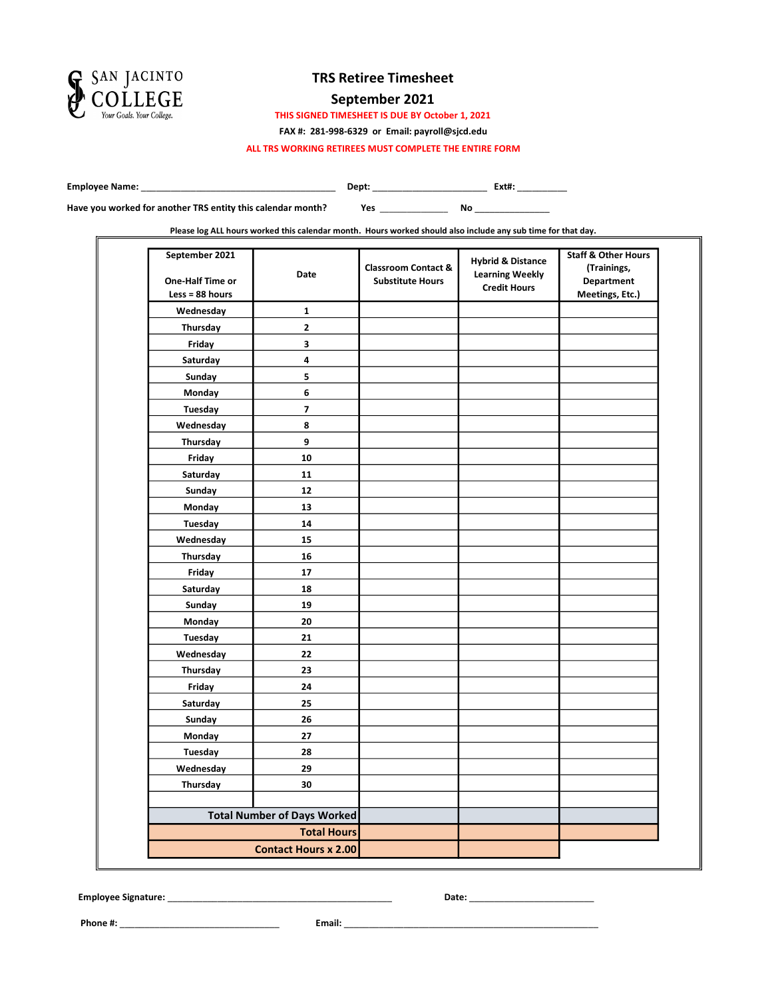

#### September 2021

THIS SIGNED TIMESHEET IS DUE BY October 1, 2021

FAX #: 281-998-6329 or Email: payroll@sjcd.edu

ALL TRS WORKING RETIREES MUST COMPLETE THE ENTIRE FORM

Employee Name: \_\_\_\_\_\_\_\_\_\_\_\_\_\_\_\_\_\_\_\_\_\_\_\_\_\_\_\_\_\_\_\_\_\_\_\_\_\_\_ Dept: \_\_\_\_\_\_\_\_\_\_\_\_\_\_\_\_\_\_\_\_\_\_\_ Ext#: \_\_\_\_\_\_\_\_\_\_

Have you worked for another TRS entity this calendar month?

Yes \_\_\_\_\_\_\_\_\_\_\_\_\_\_\_ No \_\_\_\_\_\_\_\_\_\_\_\_\_\_\_

Please log ALL hours worked this calendar month. Hours worked should also include any sub time for that day.

| September 2021<br>One-Half Time or<br>Less = 88 hours | Date                               | <b>Classroom Contact &amp;</b><br><b>Substitute Hours</b> | <b>Hybrid &amp; Distance</b><br><b>Learning Weekly</b><br><b>Credit Hours</b> | <b>Staff &amp; Other Hours</b><br>(Trainings,<br><b>Department</b><br>Meetings, Etc.) |
|-------------------------------------------------------|------------------------------------|-----------------------------------------------------------|-------------------------------------------------------------------------------|---------------------------------------------------------------------------------------|
| Wednesday                                             | 1                                  |                                                           |                                                                               |                                                                                       |
| Thursday                                              | $\mathbf{2}$                       |                                                           |                                                                               |                                                                                       |
| Friday                                                | 3                                  |                                                           |                                                                               |                                                                                       |
| Saturday                                              | 4                                  |                                                           |                                                                               |                                                                                       |
| Sunday                                                | 5                                  |                                                           |                                                                               |                                                                                       |
| Monday                                                | 6                                  |                                                           |                                                                               |                                                                                       |
| Tuesday                                               | $\overline{\phantom{a}}$           |                                                           |                                                                               |                                                                                       |
| Wednesday                                             | 8                                  |                                                           |                                                                               |                                                                                       |
| Thursday                                              | 9                                  |                                                           |                                                                               |                                                                                       |
| Friday                                                | 10                                 |                                                           |                                                                               |                                                                                       |
| Saturday                                              | 11                                 |                                                           |                                                                               |                                                                                       |
| Sunday                                                | 12                                 |                                                           |                                                                               |                                                                                       |
| Monday                                                | 13                                 |                                                           |                                                                               |                                                                                       |
| Tuesday                                               | 14                                 |                                                           |                                                                               |                                                                                       |
| Wednesday                                             | 15                                 |                                                           |                                                                               |                                                                                       |
| Thursday                                              | 16                                 |                                                           |                                                                               |                                                                                       |
| Friday                                                | 17                                 |                                                           |                                                                               |                                                                                       |
| Saturday                                              | 18                                 |                                                           |                                                                               |                                                                                       |
| Sunday                                                | 19                                 |                                                           |                                                                               |                                                                                       |
| Monday                                                | 20                                 |                                                           |                                                                               |                                                                                       |
| Tuesday                                               | 21                                 |                                                           |                                                                               |                                                                                       |
| Wednesday                                             | 22                                 |                                                           |                                                                               |                                                                                       |
| Thursday                                              | 23                                 |                                                           |                                                                               |                                                                                       |
| Friday                                                | 24                                 |                                                           |                                                                               |                                                                                       |
| Saturday                                              | 25                                 |                                                           |                                                                               |                                                                                       |
| Sunday                                                | 26                                 |                                                           |                                                                               |                                                                                       |
| Monday                                                | 27                                 |                                                           |                                                                               |                                                                                       |
| Tuesday                                               | 28                                 |                                                           |                                                                               |                                                                                       |
| Wednesday                                             | 29                                 |                                                           |                                                                               |                                                                                       |
| Thursday                                              | 30                                 |                                                           |                                                                               |                                                                                       |
|                                                       |                                    |                                                           |                                                                               |                                                                                       |
|                                                       | <b>Total Number of Days Worked</b> |                                                           |                                                                               |                                                                                       |
|                                                       | <b>Total Hours</b>                 |                                                           |                                                                               |                                                                                       |
|                                                       | <b>Contact Hours x 2.00</b>        |                                                           |                                                                               |                                                                                       |

Employee Signature: \_\_\_\_\_\_\_\_\_\_\_\_\_\_\_\_\_\_\_\_\_\_\_\_\_\_\_\_\_\_\_\_\_\_\_\_\_\_\_\_\_\_\_\_\_ Date: \_\_\_\_\_\_\_\_\_\_\_\_\_\_\_\_\_\_\_\_\_\_\_\_\_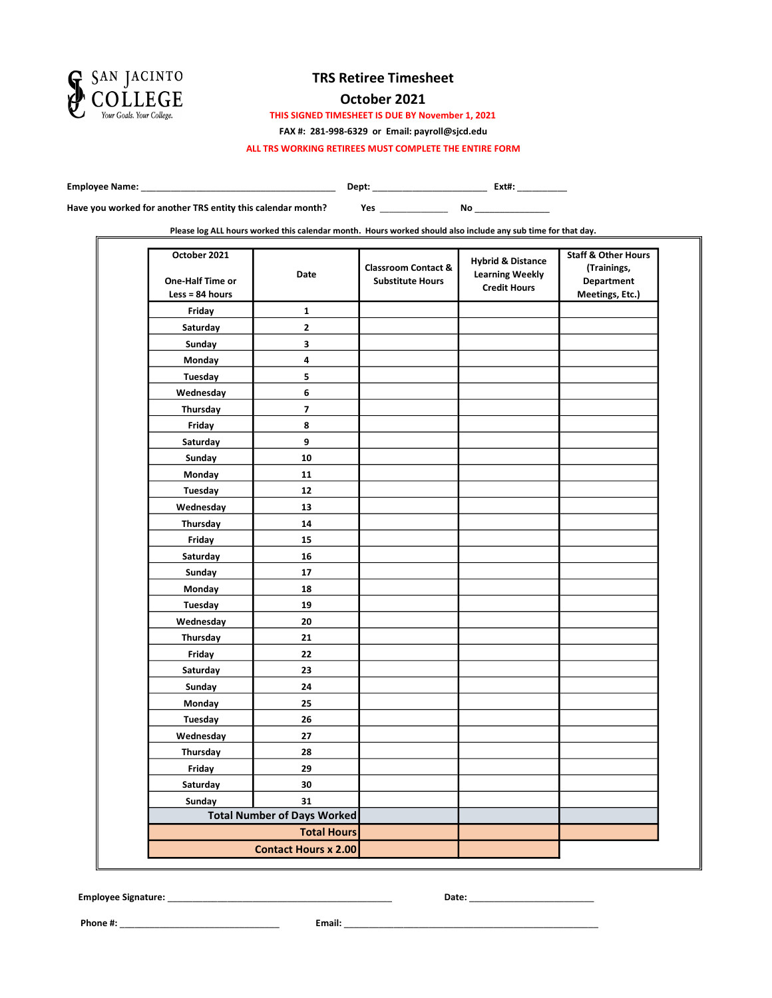

### October 2021

THIS SIGNED TIMESHEET IS DUE BY November 1, 2021

FAX #: 281-998-6329 or Email: payroll@sjcd.edu

ALL TRS WORKING RETIREES MUST COMPLETE THE ENTIRE FORM

Employee Name: \_\_\_\_\_\_\_\_\_\_\_\_\_\_\_\_\_\_\_\_\_\_\_\_\_\_\_\_\_\_\_\_\_\_\_\_\_\_\_ Dept: \_\_\_\_\_\_\_\_\_\_\_\_\_\_\_\_\_\_\_\_\_\_\_ Ext#: \_\_\_\_\_\_\_\_\_\_

Have you worked for another TRS entity this calendar month?

Yes \_\_\_\_\_\_\_\_\_\_\_\_\_\_\_ No \_\_\_\_\_\_\_\_\_\_\_\_\_\_\_

Please log ALL hours worked this calendar month. Hours worked should also include any sub time for that day.

| October 2021<br>One-Half Time or<br>$Less = 84 hours$ | Date                               | <b>Classroom Contact &amp;</b><br><b>Substitute Hours</b> | <b>Hybrid &amp; Distance</b><br><b>Learning Weekly</b><br><b>Credit Hours</b> | <b>Staff &amp; Other Hours</b><br>(Trainings,<br><b>Department</b><br>Meetings, Etc.) |
|-------------------------------------------------------|------------------------------------|-----------------------------------------------------------|-------------------------------------------------------------------------------|---------------------------------------------------------------------------------------|
| Friday                                                | 1                                  |                                                           |                                                                               |                                                                                       |
| Saturday                                              | $\mathbf 2$                        |                                                           |                                                                               |                                                                                       |
| Sunday                                                | 3                                  |                                                           |                                                                               |                                                                                       |
| Monday                                                | 4                                  |                                                           |                                                                               |                                                                                       |
| Tuesday                                               | 5                                  |                                                           |                                                                               |                                                                                       |
| Wednesday                                             | 6                                  |                                                           |                                                                               |                                                                                       |
| Thursday                                              | $\overline{\phantom{a}}$           |                                                           |                                                                               |                                                                                       |
| Friday                                                | 8                                  |                                                           |                                                                               |                                                                                       |
| Saturday                                              | 9                                  |                                                           |                                                                               |                                                                                       |
| Sunday                                                | 10                                 |                                                           |                                                                               |                                                                                       |
| Monday                                                | 11                                 |                                                           |                                                                               |                                                                                       |
| Tuesday                                               | $12$                               |                                                           |                                                                               |                                                                                       |
| Wednesday                                             | 13                                 |                                                           |                                                                               |                                                                                       |
| Thursday                                              | 14                                 |                                                           |                                                                               |                                                                                       |
| Friday                                                | 15                                 |                                                           |                                                                               |                                                                                       |
| Saturday                                              | 16                                 |                                                           |                                                                               |                                                                                       |
| Sunday                                                | 17                                 |                                                           |                                                                               |                                                                                       |
| Monday                                                | 18                                 |                                                           |                                                                               |                                                                                       |
| Tuesday                                               | 19                                 |                                                           |                                                                               |                                                                                       |
| Wednesday                                             | 20                                 |                                                           |                                                                               |                                                                                       |
| Thursday                                              | 21                                 |                                                           |                                                                               |                                                                                       |
| Friday                                                | 22                                 |                                                           |                                                                               |                                                                                       |
| Saturday                                              | 23                                 |                                                           |                                                                               |                                                                                       |
| Sunday                                                | 24                                 |                                                           |                                                                               |                                                                                       |
| Monday                                                | 25                                 |                                                           |                                                                               |                                                                                       |
| Tuesday                                               | 26                                 |                                                           |                                                                               |                                                                                       |
| Wednesday                                             | 27                                 |                                                           |                                                                               |                                                                                       |
| Thursday                                              | 28                                 |                                                           |                                                                               |                                                                                       |
| Friday                                                | 29                                 |                                                           |                                                                               |                                                                                       |
| Saturday                                              | 30                                 |                                                           |                                                                               |                                                                                       |
| Sunday                                                | 31                                 |                                                           |                                                                               |                                                                                       |
|                                                       | <b>Total Number of Days Worked</b> |                                                           |                                                                               |                                                                                       |
|                                                       | <b>Total Hours</b>                 |                                                           |                                                                               |                                                                                       |
|                                                       | <b>Contact Hours x 2.00</b>        |                                                           |                                                                               |                                                                                       |

Employee Signature: \_\_\_\_\_\_\_\_\_\_\_\_\_\_\_\_\_\_\_\_\_\_\_\_\_\_\_\_\_\_\_\_\_\_\_\_\_\_\_\_\_\_\_\_\_ Date: \_\_\_\_\_\_\_\_\_\_\_\_\_\_\_\_\_\_\_\_\_\_\_\_\_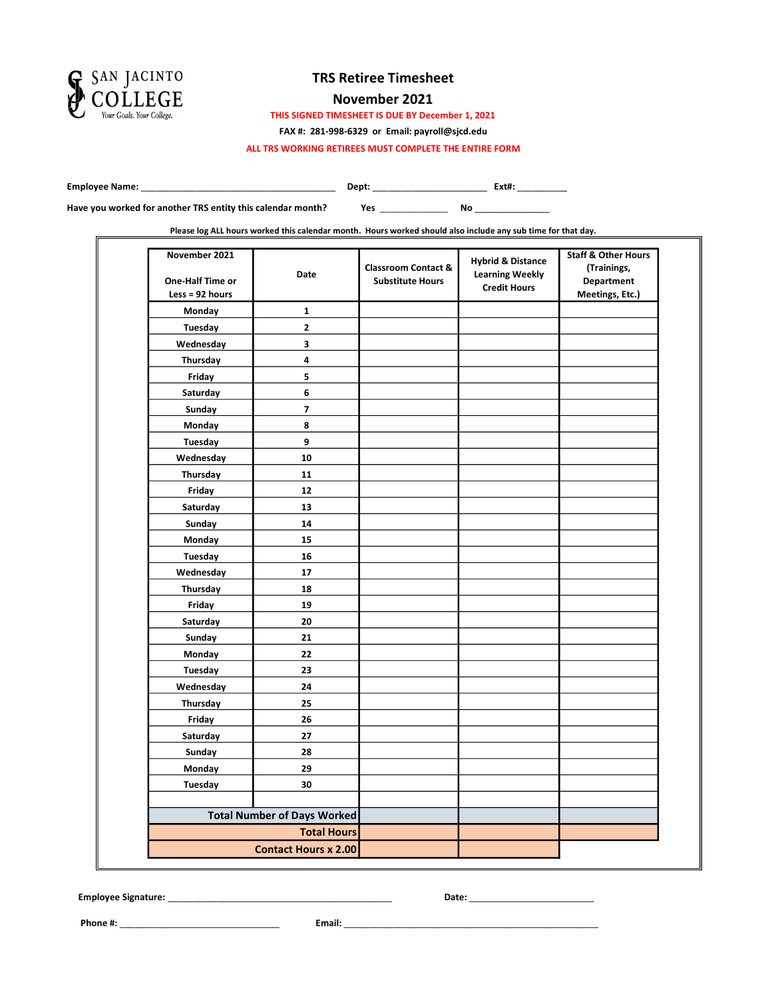

#### November 2021

THIS SIGNED TIMESHEET IS DUE BY December 1, 2021

FAX #: 281-998-6329 or Email: payroll@sjcd.edu

ALL TRS WORKING RETIREES MUST COMPLETE THE ENTIRE FORM

Employee Name: \_\_\_\_\_\_\_\_\_\_\_\_\_\_\_\_\_\_\_\_\_\_\_\_\_\_\_\_\_\_\_\_\_\_\_\_\_\_\_ Dept: \_\_\_\_\_\_\_\_\_\_\_\_\_\_\_\_\_\_\_\_\_\_\_ Ext#: \_\_\_\_\_\_\_\_\_\_

Yes \_\_\_\_\_\_\_\_\_\_\_\_\_\_\_ No \_\_\_\_\_\_\_\_\_\_\_\_\_\_\_ Have you worked for another TRS entity this calendar month?

Please log ALL hours worked this calendar month. Hours worked should also include any sub time for that day.

| November 2021<br>One-Half Time or<br>Less = $92$ hours | Date                               | <b>Classroom Contact &amp;</b><br><b>Substitute Hours</b> | <b>Hybrid &amp; Distance</b><br><b>Learning Weekly</b><br><b>Credit Hours</b> | <b>Staff &amp; Other Hours</b><br>(Trainings,<br><b>Department</b><br>Meetings, Etc.) |
|--------------------------------------------------------|------------------------------------|-----------------------------------------------------------|-------------------------------------------------------------------------------|---------------------------------------------------------------------------------------|
| Monday                                                 | $\mathbf{1}$                       |                                                           |                                                                               |                                                                                       |
| Tuesday                                                | $\mathbf{2}$                       |                                                           |                                                                               |                                                                                       |
| Wednesday                                              | 3                                  |                                                           |                                                                               |                                                                                       |
| Thursday                                               | 4                                  |                                                           |                                                                               |                                                                                       |
| Friday                                                 | 5                                  |                                                           |                                                                               |                                                                                       |
| Saturday                                               | 6                                  |                                                           |                                                                               |                                                                                       |
| Sunday                                                 | $\overline{\phantom{a}}$           |                                                           |                                                                               |                                                                                       |
| Monday                                                 | 8                                  |                                                           |                                                                               |                                                                                       |
| Tuesday                                                | 9                                  |                                                           |                                                                               |                                                                                       |
| Wednesday                                              | 10                                 |                                                           |                                                                               |                                                                                       |
| Thursday                                               | 11                                 |                                                           |                                                                               |                                                                                       |
| Friday                                                 | 12                                 |                                                           |                                                                               |                                                                                       |
| Saturday                                               | 13                                 |                                                           |                                                                               |                                                                                       |
| Sunday                                                 | 14                                 |                                                           |                                                                               |                                                                                       |
| Monday                                                 | 15                                 |                                                           |                                                                               |                                                                                       |
| Tuesday                                                | 16                                 |                                                           |                                                                               |                                                                                       |
| Wednesday                                              | 17                                 |                                                           |                                                                               |                                                                                       |
| Thursday                                               | 18                                 |                                                           |                                                                               |                                                                                       |
| Friday                                                 | 19                                 |                                                           |                                                                               |                                                                                       |
| Saturday                                               | 20                                 |                                                           |                                                                               |                                                                                       |
| Sunday                                                 | 21                                 |                                                           |                                                                               |                                                                                       |
| Monday                                                 | 22                                 |                                                           |                                                                               |                                                                                       |
| Tuesday                                                | 23                                 |                                                           |                                                                               |                                                                                       |
| Wednesday                                              | 24                                 |                                                           |                                                                               |                                                                                       |
| Thursday                                               | 25                                 |                                                           |                                                                               |                                                                                       |
| Friday                                                 | 26                                 |                                                           |                                                                               |                                                                                       |
| Saturday                                               | 27                                 |                                                           |                                                                               |                                                                                       |
| Sunday                                                 | 28                                 |                                                           |                                                                               |                                                                                       |
| Monday                                                 | 29                                 |                                                           |                                                                               |                                                                                       |
| Tuesday                                                | 30                                 |                                                           |                                                                               |                                                                                       |
|                                                        |                                    |                                                           |                                                                               |                                                                                       |
|                                                        | <b>Total Number of Days Worked</b> |                                                           |                                                                               |                                                                                       |
|                                                        | <b>Total Hours</b>                 |                                                           |                                                                               |                                                                                       |
|                                                        | <b>Contact Hours x 2.00</b>        |                                                           |                                                                               |                                                                                       |

Employee Signature: \_\_\_\_\_\_\_\_\_\_\_\_\_\_\_\_\_\_\_\_\_\_\_\_\_\_\_\_\_\_\_\_\_\_\_\_\_\_\_\_\_\_\_\_\_ Date: \_\_\_\_\_\_\_\_\_\_\_\_\_\_\_\_\_\_\_\_\_\_\_\_\_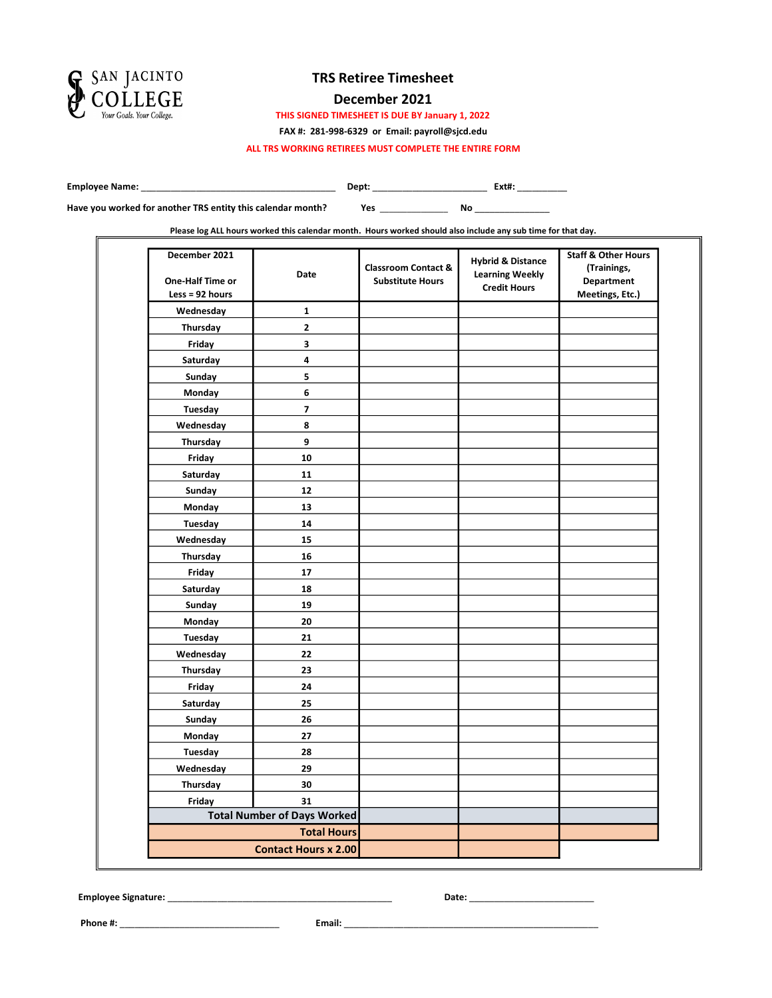

#### December 2021

THIS SIGNED TIMESHEET IS DUE BY January 1, 2022

FAX #: 281-998-6329 or Email: payroll@sjcd.edu

ALL TRS WORKING RETIREES MUST COMPLETE THE ENTIRE FORM

Employee Name: \_\_\_\_\_\_\_\_\_\_\_\_\_\_\_\_\_\_\_\_\_\_\_\_\_\_\_\_\_\_\_\_\_\_\_\_\_\_\_ Dept: \_\_\_\_\_\_\_\_\_\_\_\_\_\_\_\_\_\_\_\_\_\_\_ Ext#: \_\_\_\_\_\_\_\_\_\_

Have you worked for another TRS entity this calendar month?

Yes \_\_\_\_\_\_\_\_\_\_\_\_\_\_\_ No \_\_\_\_\_\_\_\_\_\_\_\_\_\_\_

Please log ALL hours worked this calendar month. Hours worked should also include any sub time for that day.

| December 2021<br>One-Half Time or<br>Less = $92$ hours | Date                               | <b>Classroom Contact &amp;</b><br><b>Substitute Hours</b> | <b>Hybrid &amp; Distance</b><br><b>Learning Weekly</b><br><b>Credit Hours</b> | <b>Staff &amp; Other Hours</b><br>(Trainings,<br><b>Department</b><br>Meetings, Etc.) |
|--------------------------------------------------------|------------------------------------|-----------------------------------------------------------|-------------------------------------------------------------------------------|---------------------------------------------------------------------------------------|
| Wednesday                                              | 1                                  |                                                           |                                                                               |                                                                                       |
| Thursday                                               | $\mathbf{2}$                       |                                                           |                                                                               |                                                                                       |
| Friday                                                 | 3                                  |                                                           |                                                                               |                                                                                       |
| Saturday                                               | 4                                  |                                                           |                                                                               |                                                                                       |
| Sunday                                                 | 5                                  |                                                           |                                                                               |                                                                                       |
| Monday                                                 | 6                                  |                                                           |                                                                               |                                                                                       |
| Tuesday                                                | $\overline{\phantom{a}}$           |                                                           |                                                                               |                                                                                       |
| Wednesday                                              | 8                                  |                                                           |                                                                               |                                                                                       |
| Thursday                                               | 9                                  |                                                           |                                                                               |                                                                                       |
| Friday                                                 | 10                                 |                                                           |                                                                               |                                                                                       |
| Saturday                                               | 11                                 |                                                           |                                                                               |                                                                                       |
| Sunday                                                 | 12                                 |                                                           |                                                                               |                                                                                       |
| Monday                                                 | 13                                 |                                                           |                                                                               |                                                                                       |
| Tuesday                                                | 14                                 |                                                           |                                                                               |                                                                                       |
| Wednesday                                              | 15                                 |                                                           |                                                                               |                                                                                       |
| Thursday                                               | 16                                 |                                                           |                                                                               |                                                                                       |
| Friday                                                 | 17                                 |                                                           |                                                                               |                                                                                       |
| Saturday                                               | 18                                 |                                                           |                                                                               |                                                                                       |
| Sunday                                                 | 19                                 |                                                           |                                                                               |                                                                                       |
| Monday                                                 | 20                                 |                                                           |                                                                               |                                                                                       |
| Tuesday                                                | 21                                 |                                                           |                                                                               |                                                                                       |
| Wednesday                                              | 22                                 |                                                           |                                                                               |                                                                                       |
| Thursday                                               | 23                                 |                                                           |                                                                               |                                                                                       |
| Friday                                                 | 24                                 |                                                           |                                                                               |                                                                                       |
| Saturday                                               | 25                                 |                                                           |                                                                               |                                                                                       |
| Sunday                                                 | 26                                 |                                                           |                                                                               |                                                                                       |
| Monday                                                 | 27                                 |                                                           |                                                                               |                                                                                       |
| Tuesday                                                | 28                                 |                                                           |                                                                               |                                                                                       |
| Wednesday                                              | 29                                 |                                                           |                                                                               |                                                                                       |
| Thursday                                               | 30                                 |                                                           |                                                                               |                                                                                       |
| Friday                                                 | 31                                 |                                                           |                                                                               |                                                                                       |
|                                                        | <b>Total Number of Days Worked</b> |                                                           |                                                                               |                                                                                       |
|                                                        | <b>Total Hours</b>                 |                                                           |                                                                               |                                                                                       |
|                                                        | <b>Contact Hours x 2.00</b>        |                                                           |                                                                               |                                                                                       |

Employee Signature: \_\_\_\_\_\_\_\_\_\_\_\_\_\_\_\_\_\_\_\_\_\_\_\_\_\_\_\_\_\_\_\_\_\_\_\_\_\_\_\_\_\_\_\_\_ Date: \_\_\_\_\_\_\_\_\_\_\_\_\_\_\_\_\_\_\_\_\_\_\_\_\_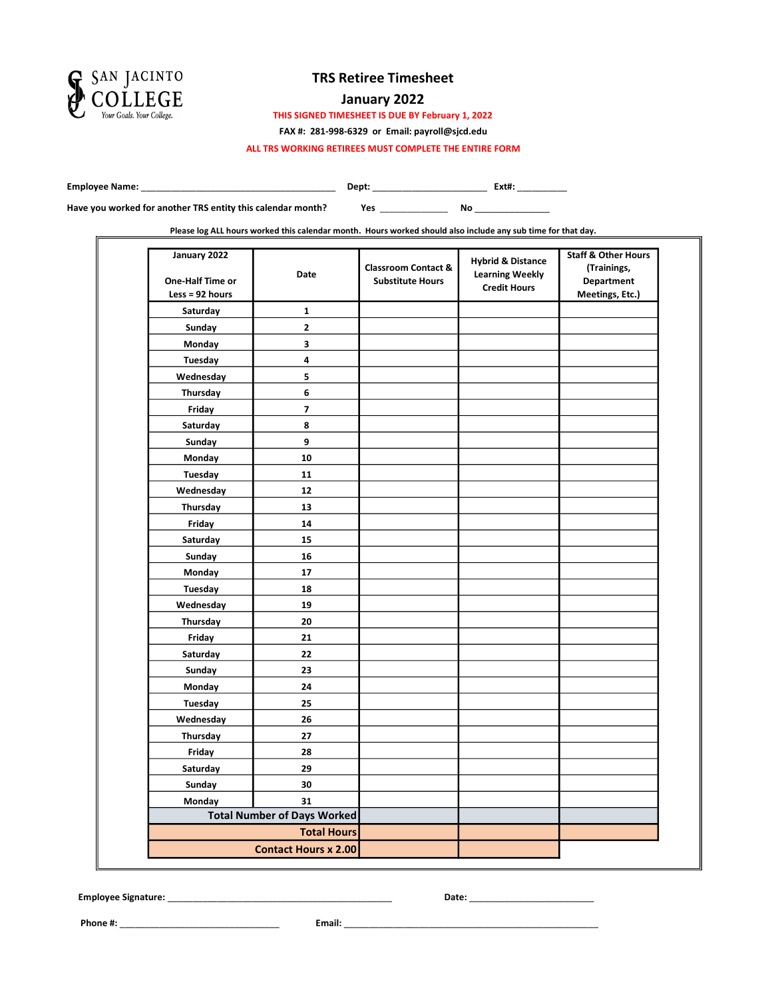

### January 2022

THIS SIGNED TIMESHEET IS DUE BY February 1, 2022

FAX #: 281-998-6329 or Email: payroll@sjcd.edu

ALL TRS WORKING RETIREES MUST COMPLETE THE ENTIRE FORM

Employee Name: \_\_\_\_\_\_\_\_\_\_\_\_\_\_\_\_\_\_\_\_\_\_\_\_\_\_\_\_\_\_\_\_\_\_\_\_\_\_\_ Dept: \_\_\_\_\_\_\_\_\_\_\_\_\_\_\_\_\_\_\_\_\_\_\_ Ext#: \_\_\_\_\_\_\_\_\_\_

Yes \_\_\_\_\_\_\_\_\_\_\_\_\_\_\_ No \_\_\_\_\_\_\_\_\_\_\_\_\_\_\_ Have you worked for another TRS entity this calendar month?

Please log ALL hours worked this calendar month. Hours worked should also include any sub time for that day.

| January 2022<br>One-Half Time or<br>$Less = 92 hours$ | Date                               | <b>Classroom Contact &amp;</b><br><b>Substitute Hours</b> | <b>Hybrid &amp; Distance</b><br><b>Learning Weekly</b><br><b>Credit Hours</b> | <b>Staff &amp; Other Hours</b><br>(Trainings,<br><b>Department</b><br>Meetings, Etc.) |
|-------------------------------------------------------|------------------------------------|-----------------------------------------------------------|-------------------------------------------------------------------------------|---------------------------------------------------------------------------------------|
| Saturday                                              | $\mathbf{1}$                       |                                                           |                                                                               |                                                                                       |
| Sunday                                                | $\mathbf 2$                        |                                                           |                                                                               |                                                                                       |
| Monday                                                | $\overline{\mathbf{3}}$            |                                                           |                                                                               |                                                                                       |
| Tuesday                                               | 4                                  |                                                           |                                                                               |                                                                                       |
| Wednesday                                             | 5                                  |                                                           |                                                                               |                                                                                       |
| Thursday                                              | 6                                  |                                                           |                                                                               |                                                                                       |
| Friday                                                | $\overline{\phantom{a}}$           |                                                           |                                                                               |                                                                                       |
| Saturday                                              | 8                                  |                                                           |                                                                               |                                                                                       |
| Sunday                                                | 9                                  |                                                           |                                                                               |                                                                                       |
| Monday                                                | 10                                 |                                                           |                                                                               |                                                                                       |
| Tuesday                                               | 11                                 |                                                           |                                                                               |                                                                                       |
| Wednesday                                             | 12                                 |                                                           |                                                                               |                                                                                       |
| Thursday                                              | 13                                 |                                                           |                                                                               |                                                                                       |
| Friday                                                | 14                                 |                                                           |                                                                               |                                                                                       |
| Saturday                                              | 15                                 |                                                           |                                                                               |                                                                                       |
| Sunday                                                | 16                                 |                                                           |                                                                               |                                                                                       |
| Monday                                                | 17                                 |                                                           |                                                                               |                                                                                       |
| Tuesday                                               | 18                                 |                                                           |                                                                               |                                                                                       |
| Wednesday                                             | 19                                 |                                                           |                                                                               |                                                                                       |
| Thursday                                              | 20                                 |                                                           |                                                                               |                                                                                       |
| Friday                                                | 21                                 |                                                           |                                                                               |                                                                                       |
| Saturday                                              | 22                                 |                                                           |                                                                               |                                                                                       |
| Sunday                                                | 23                                 |                                                           |                                                                               |                                                                                       |
| Monday                                                | 24                                 |                                                           |                                                                               |                                                                                       |
| Tuesday                                               | 25                                 |                                                           |                                                                               |                                                                                       |
| Wednesday                                             | 26                                 |                                                           |                                                                               |                                                                                       |
| Thursday                                              | 27                                 |                                                           |                                                                               |                                                                                       |
| Friday                                                | 28                                 |                                                           |                                                                               |                                                                                       |
| Saturday                                              | 29                                 |                                                           |                                                                               |                                                                                       |
| Sunday                                                | 30                                 |                                                           |                                                                               |                                                                                       |
| Monday                                                | 31                                 |                                                           |                                                                               |                                                                                       |
|                                                       | <b>Total Number of Days Worked</b> |                                                           |                                                                               |                                                                                       |
|                                                       | <b>Total Hours</b>                 |                                                           |                                                                               |                                                                                       |
|                                                       | <b>Contact Hours x 2.00</b>        |                                                           |                                                                               |                                                                                       |

Employee Signature: \_\_\_\_\_\_\_\_\_\_\_\_\_\_\_\_\_\_\_\_\_\_\_\_\_\_\_\_\_\_\_\_\_\_\_\_\_\_\_\_\_\_\_\_\_ Date: \_\_\_\_\_\_\_\_\_\_\_\_\_\_\_\_\_\_\_\_\_\_\_\_\_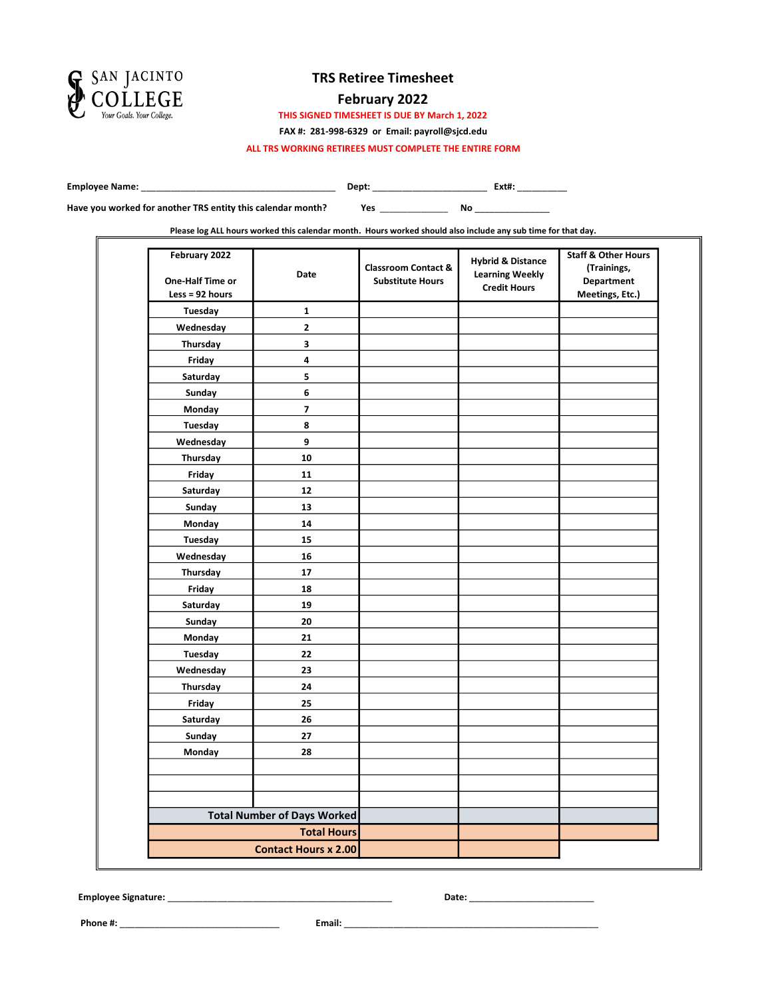

### February 2022

THIS SIGNED TIMESHEET IS DUE BY March 1, 2022

FAX #: 281-998-6329 or Email: payroll@sjcd.edu

ALL TRS WORKING RETIREES MUST COMPLETE THE ENTIRE FORM

Employee Name: \_\_\_\_\_\_\_\_\_\_\_\_\_\_\_\_\_\_\_\_\_\_\_\_\_\_\_\_\_\_\_\_\_\_\_\_\_\_\_ Dept: \_\_\_\_\_\_\_\_\_\_\_\_\_\_\_\_\_\_\_\_\_\_\_ Ext#: \_\_\_\_\_\_\_\_\_\_

Yes \_\_\_\_\_\_\_\_\_\_\_\_\_\_\_ No \_\_\_\_\_\_\_\_\_\_\_\_\_\_\_ Have you worked for another TRS entity this calendar month?

Please log ALL hours worked this calendar month. Hours worked should also include any sub time for that day.

| February 2022<br>One-Half Time or<br>Less = $92$ hours | <b>Date</b>                        | <b>Classroom Contact &amp;</b><br><b>Substitute Hours</b> | <b>Hybrid &amp; Distance</b><br><b>Learning Weekly</b><br><b>Credit Hours</b> | <b>Staff &amp; Other Hours</b><br>(Trainings,<br><b>Department</b><br>Meetings, Etc.) |
|--------------------------------------------------------|------------------------------------|-----------------------------------------------------------|-------------------------------------------------------------------------------|---------------------------------------------------------------------------------------|
| Tuesday                                                | 1                                  |                                                           |                                                                               |                                                                                       |
| Wednesday                                              | 2                                  |                                                           |                                                                               |                                                                                       |
| Thursday                                               | 3                                  |                                                           |                                                                               |                                                                                       |
| Friday                                                 | 4                                  |                                                           |                                                                               |                                                                                       |
| Saturday                                               | 5                                  |                                                           |                                                                               |                                                                                       |
| Sunday                                                 | 6                                  |                                                           |                                                                               |                                                                                       |
| Monday                                                 | 7                                  |                                                           |                                                                               |                                                                                       |
| <b>Tuesday</b>                                         | 8                                  |                                                           |                                                                               |                                                                                       |
| Wednesday                                              | 9                                  |                                                           |                                                                               |                                                                                       |
| Thursday                                               | 10                                 |                                                           |                                                                               |                                                                                       |
| Friday                                                 | 11                                 |                                                           |                                                                               |                                                                                       |
| Saturday                                               | 12                                 |                                                           |                                                                               |                                                                                       |
| Sunday                                                 | 13                                 |                                                           |                                                                               |                                                                                       |
| Monday                                                 | 14                                 |                                                           |                                                                               |                                                                                       |
| <b>Tuesday</b>                                         | 15                                 |                                                           |                                                                               |                                                                                       |
| Wednesday                                              | 16                                 |                                                           |                                                                               |                                                                                       |
| Thursday                                               | ${\bf 17}$                         |                                                           |                                                                               |                                                                                       |
| Friday                                                 | 18                                 |                                                           |                                                                               |                                                                                       |
| Saturday                                               | 19                                 |                                                           |                                                                               |                                                                                       |
| Sunday                                                 | 20                                 |                                                           |                                                                               |                                                                                       |
| Monday                                                 | 21                                 |                                                           |                                                                               |                                                                                       |
| Tuesday                                                | 22                                 |                                                           |                                                                               |                                                                                       |
| Wednesday                                              | 23                                 |                                                           |                                                                               |                                                                                       |
| Thursday                                               | 24                                 |                                                           |                                                                               |                                                                                       |
| Friday                                                 | 25                                 |                                                           |                                                                               |                                                                                       |
| Saturday                                               | 26                                 |                                                           |                                                                               |                                                                                       |
| Sunday                                                 | 27                                 |                                                           |                                                                               |                                                                                       |
| Monday                                                 | 28                                 |                                                           |                                                                               |                                                                                       |
|                                                        |                                    |                                                           |                                                                               |                                                                                       |
|                                                        |                                    |                                                           |                                                                               |                                                                                       |
|                                                        |                                    |                                                           |                                                                               |                                                                                       |
|                                                        | <b>Total Number of Days Worked</b> |                                                           |                                                                               |                                                                                       |
|                                                        | <b>Total Hours</b>                 |                                                           |                                                                               |                                                                                       |
|                                                        | <b>Contact Hours x 2.00</b>        |                                                           |                                                                               |                                                                                       |

Employee Signature: \_\_\_\_\_\_\_\_\_\_\_\_\_\_\_\_\_\_\_\_\_\_\_\_\_\_\_\_\_\_\_\_\_\_\_\_\_\_\_\_\_\_\_\_\_ Date: \_\_\_\_\_\_\_\_\_\_\_\_\_\_\_\_\_\_\_\_\_\_\_\_\_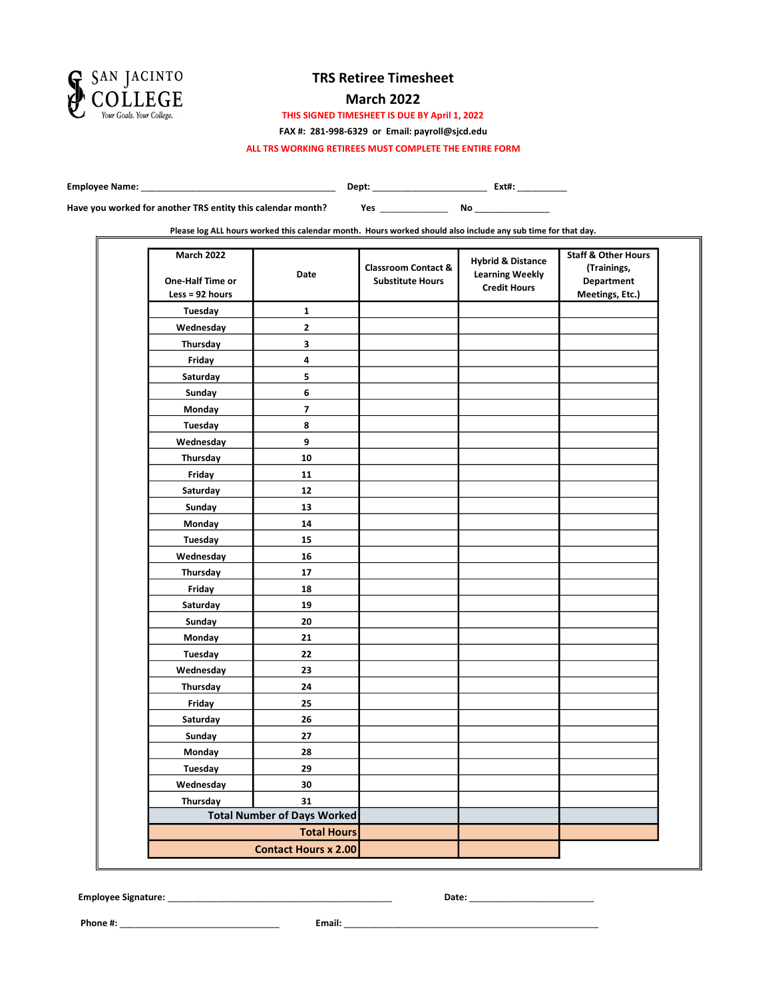

### March 2022

THIS SIGNED TIMESHEET IS DUE BY April 1, 2022

FAX #: 281-998-6329 or Email: payroll@sjcd.edu

ALL TRS WORKING RETIREES MUST COMPLETE THE ENTIRE FORM

Employee Name: \_\_\_\_\_\_\_\_\_\_\_\_\_\_\_\_\_\_\_\_\_\_\_\_\_\_\_\_\_\_\_\_\_\_\_\_\_\_\_ Dept: \_\_\_\_\_\_\_\_\_\_\_\_\_\_\_\_\_\_\_\_\_\_\_ Ext#: \_\_\_\_\_\_\_\_\_\_

Have you worked for another TRS entity this calendar month?

Yes \_\_\_\_\_\_\_\_\_\_\_\_\_\_\_ No \_\_\_\_\_\_\_\_\_\_\_\_\_\_\_

Please log ALL hours worked this calendar month. Hours worked should also include any sub time for that day.

| <b>March 2022</b><br>One-Half Time or<br>Less = $92$ hours | Date                               | <b>Classroom Contact &amp;</b><br><b>Substitute Hours</b> | <b>Hybrid &amp; Distance</b><br><b>Learning Weekly</b><br><b>Credit Hours</b> | <b>Staff &amp; Other Hours</b><br>(Trainings,<br><b>Department</b><br>Meetings, Etc.) |
|------------------------------------------------------------|------------------------------------|-----------------------------------------------------------|-------------------------------------------------------------------------------|---------------------------------------------------------------------------------------|
| Tuesday                                                    | 1                                  |                                                           |                                                                               |                                                                                       |
| Wednesday                                                  | 2                                  |                                                           |                                                                               |                                                                                       |
| Thursday                                                   | 3                                  |                                                           |                                                                               |                                                                                       |
| Friday                                                     | 4                                  |                                                           |                                                                               |                                                                                       |
| Saturday                                                   | 5                                  |                                                           |                                                                               |                                                                                       |
| Sunday                                                     | 6                                  |                                                           |                                                                               |                                                                                       |
| Monday                                                     | 7                                  |                                                           |                                                                               |                                                                                       |
| Tuesday                                                    | 8                                  |                                                           |                                                                               |                                                                                       |
| Wednesday                                                  | 9                                  |                                                           |                                                                               |                                                                                       |
| Thursday                                                   | 10                                 |                                                           |                                                                               |                                                                                       |
| Friday                                                     | 11                                 |                                                           |                                                                               |                                                                                       |
| Saturday                                                   | 12                                 |                                                           |                                                                               |                                                                                       |
| Sunday                                                     | 13                                 |                                                           |                                                                               |                                                                                       |
| Monday                                                     | 14                                 |                                                           |                                                                               |                                                                                       |
| Tuesday                                                    | 15                                 |                                                           |                                                                               |                                                                                       |
| Wednesday                                                  | 16                                 |                                                           |                                                                               |                                                                                       |
| Thursday                                                   | 17                                 |                                                           |                                                                               |                                                                                       |
| Friday                                                     | 18                                 |                                                           |                                                                               |                                                                                       |
| Saturday                                                   | 19                                 |                                                           |                                                                               |                                                                                       |
| Sunday                                                     | 20                                 |                                                           |                                                                               |                                                                                       |
| Monday                                                     | 21                                 |                                                           |                                                                               |                                                                                       |
| Tuesday                                                    | 22                                 |                                                           |                                                                               |                                                                                       |
| Wednesday                                                  | 23                                 |                                                           |                                                                               |                                                                                       |
| Thursday                                                   | 24                                 |                                                           |                                                                               |                                                                                       |
| Friday                                                     | 25                                 |                                                           |                                                                               |                                                                                       |
| Saturday                                                   | 26                                 |                                                           |                                                                               |                                                                                       |
| Sunday                                                     | 27                                 |                                                           |                                                                               |                                                                                       |
| Monday                                                     | 28                                 |                                                           |                                                                               |                                                                                       |
| Tuesday                                                    | 29                                 |                                                           |                                                                               |                                                                                       |
| Wednesday                                                  | 30                                 |                                                           |                                                                               |                                                                                       |
| Thursday                                                   | 31                                 |                                                           |                                                                               |                                                                                       |
|                                                            | <b>Total Number of Days Worked</b> |                                                           |                                                                               |                                                                                       |
|                                                            | <b>Total Hours</b>                 |                                                           |                                                                               |                                                                                       |
|                                                            | <b>Contact Hours x 2.00</b>        |                                                           |                                                                               |                                                                                       |

Employee Signature: \_\_\_\_\_\_\_\_\_\_\_\_\_\_\_\_\_\_\_\_\_\_\_\_\_\_\_\_\_\_\_\_\_\_\_\_\_\_\_\_\_\_\_\_\_ Date: \_\_\_\_\_\_\_\_\_\_\_\_\_\_\_\_\_\_\_\_\_\_\_\_\_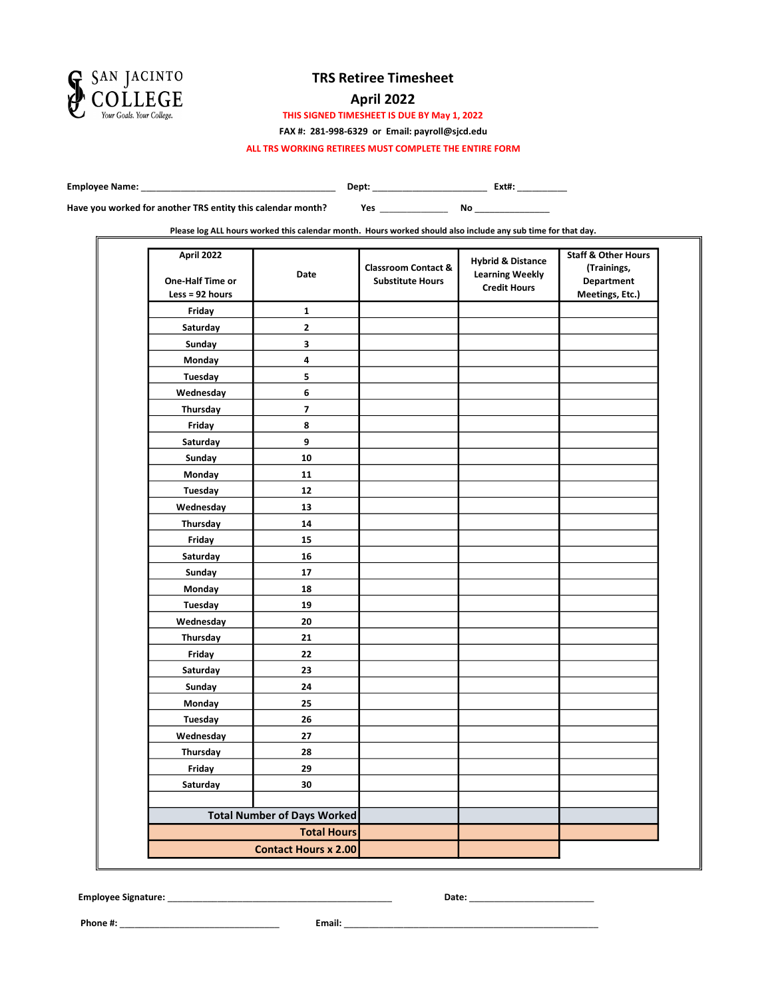

### April 2022

THIS SIGNED TIMESHEET IS DUE BY May 1, 2022

FAX #: 281-998-6329 or Email: payroll@sjcd.edu

ALL TRS WORKING RETIREES MUST COMPLETE THE ENTIRE FORM

Employee Name: \_\_\_\_\_\_\_\_\_\_\_\_\_\_\_\_\_\_\_\_\_\_\_\_\_\_\_\_\_\_\_\_\_\_\_\_\_\_\_ Dept: \_\_\_\_\_\_\_\_\_\_\_\_\_\_\_\_\_\_\_\_\_\_\_ Ext#: \_\_\_\_\_\_\_\_\_\_

Have you worked for another TRS entity this calendar month?

Yes \_\_\_\_\_\_\_\_\_\_\_\_\_\_\_ No \_\_\_\_\_\_\_\_\_\_\_\_\_\_\_

Please log ALL hours worked this calendar month. Hours worked should also include any sub time for that day.

| April 2022<br>One-Half Time or<br>Less = $92$ hours | Date                               | <b>Classroom Contact &amp;</b><br><b>Substitute Hours</b> | <b>Hybrid &amp; Distance</b><br><b>Learning Weekly</b><br><b>Credit Hours</b> | <b>Staff &amp; Other Hours</b><br>(Trainings,<br><b>Department</b><br>Meetings, Etc.) |
|-----------------------------------------------------|------------------------------------|-----------------------------------------------------------|-------------------------------------------------------------------------------|---------------------------------------------------------------------------------------|
| Friday                                              | 1                                  |                                                           |                                                                               |                                                                                       |
| Saturday                                            | $\overline{\mathbf{2}}$            |                                                           |                                                                               |                                                                                       |
| Sunday                                              | 3                                  |                                                           |                                                                               |                                                                                       |
| Monday                                              | 4                                  |                                                           |                                                                               |                                                                                       |
| Tuesday                                             | 5                                  |                                                           |                                                                               |                                                                                       |
| Wednesday                                           | 6                                  |                                                           |                                                                               |                                                                                       |
| Thursday                                            | $\overline{\mathbf{z}}$            |                                                           |                                                                               |                                                                                       |
| Friday                                              | 8                                  |                                                           |                                                                               |                                                                                       |
| Saturday                                            | 9                                  |                                                           |                                                                               |                                                                                       |
| Sunday                                              | 10                                 |                                                           |                                                                               |                                                                                       |
| Monday                                              | 11                                 |                                                           |                                                                               |                                                                                       |
| Tuesday                                             | 12                                 |                                                           |                                                                               |                                                                                       |
| Wednesday                                           | 13                                 |                                                           |                                                                               |                                                                                       |
| Thursday                                            | 14                                 |                                                           |                                                                               |                                                                                       |
| Friday                                              | 15                                 |                                                           |                                                                               |                                                                                       |
| Saturday                                            | 16                                 |                                                           |                                                                               |                                                                                       |
| Sunday                                              | 17                                 |                                                           |                                                                               |                                                                                       |
| Monday                                              | 18                                 |                                                           |                                                                               |                                                                                       |
| Tuesday                                             | 19                                 |                                                           |                                                                               |                                                                                       |
| Wednesday                                           | 20                                 |                                                           |                                                                               |                                                                                       |
| Thursday                                            | 21                                 |                                                           |                                                                               |                                                                                       |
| Friday                                              | 22                                 |                                                           |                                                                               |                                                                                       |
| Saturday                                            | 23                                 |                                                           |                                                                               |                                                                                       |
| Sunday                                              | 24                                 |                                                           |                                                                               |                                                                                       |
| Monday                                              | 25                                 |                                                           |                                                                               |                                                                                       |
| Tuesday                                             | 26                                 |                                                           |                                                                               |                                                                                       |
| Wednesday                                           | 27                                 |                                                           |                                                                               |                                                                                       |
| Thursday                                            | 28                                 |                                                           |                                                                               |                                                                                       |
| Friday                                              | 29                                 |                                                           |                                                                               |                                                                                       |
| Saturday                                            | 30                                 |                                                           |                                                                               |                                                                                       |
|                                                     |                                    |                                                           |                                                                               |                                                                                       |
|                                                     | <b>Total Number of Days Worked</b> |                                                           |                                                                               |                                                                                       |
|                                                     | <b>Total Hours</b>                 |                                                           |                                                                               |                                                                                       |
|                                                     | <b>Contact Hours x 2.00</b>        |                                                           |                                                                               |                                                                                       |

Employee Signature: \_\_\_\_\_\_\_\_\_\_\_\_\_\_\_\_\_\_\_\_\_\_\_\_\_\_\_\_\_\_\_\_\_\_\_\_\_\_\_\_\_\_\_\_\_ Date: \_\_\_\_\_\_\_\_\_\_\_\_\_\_\_\_\_\_\_\_\_\_\_\_\_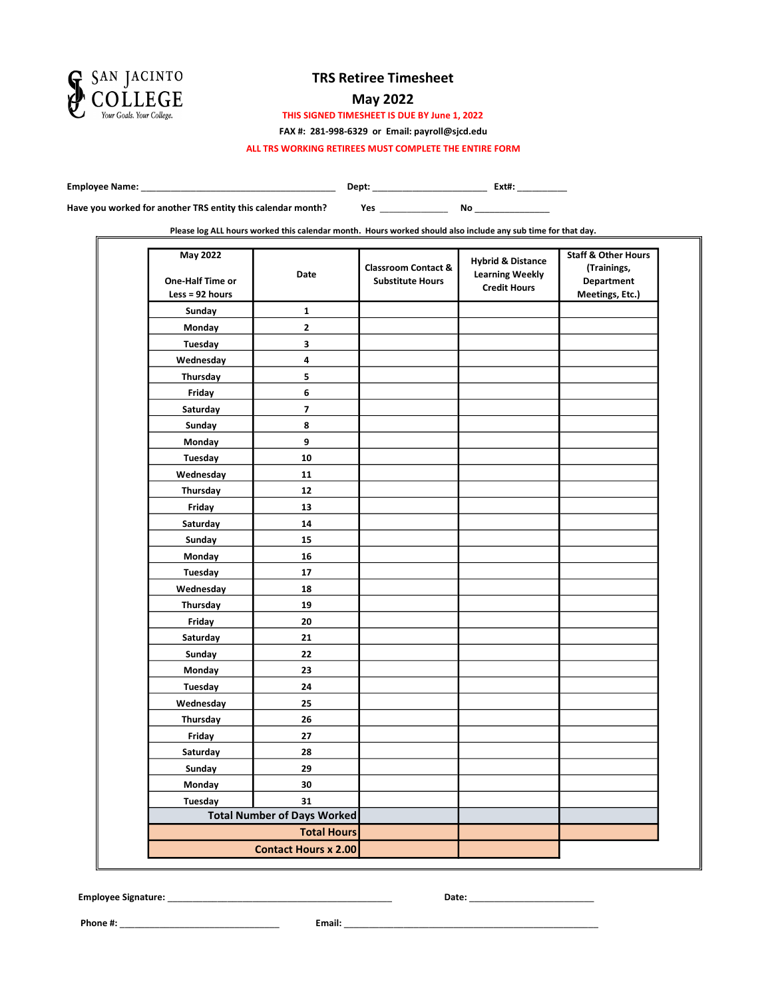

### May 2022

THIS SIGNED TIMESHEET IS DUE BY June 1, 2022

FAX #: 281-998-6329 or Email: payroll@sjcd.edu

ALL TRS WORKING RETIREES MUST COMPLETE THE ENTIRE FORM

Employee Name: \_\_\_\_\_\_\_\_\_\_\_\_\_\_\_\_\_\_\_\_\_\_\_\_\_\_\_\_\_\_\_\_\_\_\_\_\_\_\_ Dept: \_\_\_\_\_\_\_\_\_\_\_\_\_\_\_\_\_\_\_\_\_\_\_ Ext#: \_\_\_\_\_\_\_\_\_\_

Yes \_\_\_\_\_\_\_\_\_\_\_\_\_\_\_ No \_\_\_\_\_\_\_\_\_\_\_\_\_\_\_ Have you worked for another TRS entity this calendar month?

Please log ALL hours worked this calendar month. Hours worked should also include any sub time for that day.

| May 2022<br><b>One-Half Time or</b><br>Less = $92$ hours | Date                               | <b>Classroom Contact &amp;</b><br><b>Substitute Hours</b> | <b>Hybrid &amp; Distance</b><br><b>Learning Weekly</b><br><b>Credit Hours</b> | <b>Staff &amp; Other Hours</b><br>(Trainings,<br><b>Department</b><br>Meetings, Etc.) |
|----------------------------------------------------------|------------------------------------|-----------------------------------------------------------|-------------------------------------------------------------------------------|---------------------------------------------------------------------------------------|
| Sunday                                                   | 1                                  |                                                           |                                                                               |                                                                                       |
| Monday                                                   | 2                                  |                                                           |                                                                               |                                                                                       |
| <b>Tuesday</b>                                           | 3                                  |                                                           |                                                                               |                                                                                       |
| Wednesday                                                | 4                                  |                                                           |                                                                               |                                                                                       |
| Thursday                                                 | 5                                  |                                                           |                                                                               |                                                                                       |
| Friday                                                   | 6                                  |                                                           |                                                                               |                                                                                       |
| Saturday                                                 | 7                                  |                                                           |                                                                               |                                                                                       |
| Sunday                                                   | 8                                  |                                                           |                                                                               |                                                                                       |
| Monday                                                   | 9                                  |                                                           |                                                                               |                                                                                       |
| Tuesday                                                  | 10                                 |                                                           |                                                                               |                                                                                       |
| Wednesday                                                | 11                                 |                                                           |                                                                               |                                                                                       |
| Thursday                                                 | 12                                 |                                                           |                                                                               |                                                                                       |
| Friday                                                   | 13                                 |                                                           |                                                                               |                                                                                       |
| Saturday                                                 | 14                                 |                                                           |                                                                               |                                                                                       |
| Sunday                                                   | 15                                 |                                                           |                                                                               |                                                                                       |
| Monday                                                   | 16                                 |                                                           |                                                                               |                                                                                       |
| Tuesday                                                  | 17                                 |                                                           |                                                                               |                                                                                       |
| Wednesday                                                | 18                                 |                                                           |                                                                               |                                                                                       |
| Thursday                                                 | 19                                 |                                                           |                                                                               |                                                                                       |
| Friday                                                   | 20                                 |                                                           |                                                                               |                                                                                       |
| Saturday                                                 | 21                                 |                                                           |                                                                               |                                                                                       |
| Sunday                                                   | 22                                 |                                                           |                                                                               |                                                                                       |
| Monday                                                   | 23                                 |                                                           |                                                                               |                                                                                       |
| Tuesday                                                  | 24                                 |                                                           |                                                                               |                                                                                       |
| Wednesday                                                | 25                                 |                                                           |                                                                               |                                                                                       |
| Thursday                                                 | 26                                 |                                                           |                                                                               |                                                                                       |
| Friday                                                   | 27                                 |                                                           |                                                                               |                                                                                       |
| Saturday                                                 | 28                                 |                                                           |                                                                               |                                                                                       |
| Sunday                                                   | 29                                 |                                                           |                                                                               |                                                                                       |
| Monday                                                   | 30                                 |                                                           |                                                                               |                                                                                       |
| <b>Tuesday</b>                                           | 31                                 |                                                           |                                                                               |                                                                                       |
|                                                          | <b>Total Number of Days Worked</b> |                                                           |                                                                               |                                                                                       |
|                                                          | <b>Total Hours</b>                 |                                                           |                                                                               |                                                                                       |
|                                                          | <b>Contact Hours x 2.00</b>        |                                                           |                                                                               |                                                                                       |

Employee Signature: \_\_\_\_\_\_\_\_\_\_\_\_\_\_\_\_\_\_\_\_\_\_\_\_\_\_\_\_\_\_\_\_\_\_\_\_\_\_\_\_\_\_\_\_\_ Date: \_\_\_\_\_\_\_\_\_\_\_\_\_\_\_\_\_\_\_\_\_\_\_\_\_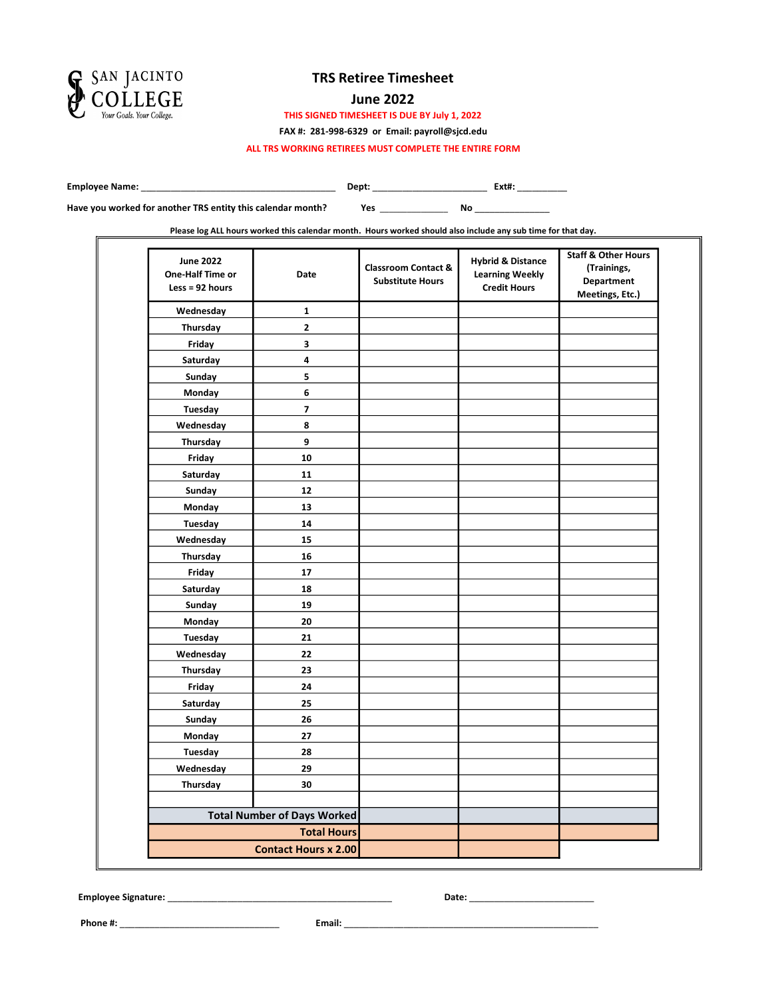

#### June 2022

THIS SIGNED TIMESHEET IS DUE BY July 1, 2022

FAX #: 281-998-6329 or Email: payroll@sjcd.edu

ALL TRS WORKING RETIREES MUST COMPLETE THE ENTIRE FORM

Employee Name: \_\_\_\_\_\_\_\_\_\_\_\_\_\_\_\_\_\_\_\_\_\_\_\_\_\_\_\_\_\_\_\_\_\_\_\_\_\_\_ Dept: \_\_\_\_\_\_\_\_\_\_\_\_\_\_\_\_\_\_\_\_\_\_\_ Ext#: \_\_\_\_\_\_\_\_\_\_

Have you worked for another TRS entity this calendar month?

Yes \_\_\_\_\_\_\_\_\_\_\_\_\_\_\_ No \_\_\_\_\_\_\_\_\_\_\_\_\_\_\_

Please log ALL hours worked this calendar month. Hours worked should also include any sub time for that day.

| <b>June 2022</b><br>One-Half Time or<br>Less = $92$ hours | Date                               | <b>Classroom Contact &amp;</b><br><b>Substitute Hours</b> | <b>Hybrid &amp; Distance</b><br><b>Learning Weekly</b><br><b>Credit Hours</b> | <b>Staff &amp; Other Hours</b><br>(Trainings,<br><b>Department</b><br>Meetings, Etc.) |
|-----------------------------------------------------------|------------------------------------|-----------------------------------------------------------|-------------------------------------------------------------------------------|---------------------------------------------------------------------------------------|
| Wednesday                                                 | $\mathbf 1$                        |                                                           |                                                                               |                                                                                       |
| Thursday                                                  | $\mathbf 2$                        |                                                           |                                                                               |                                                                                       |
| Friday                                                    | 3                                  |                                                           |                                                                               |                                                                                       |
| Saturday                                                  | 4                                  |                                                           |                                                                               |                                                                                       |
| Sunday                                                    | 5                                  |                                                           |                                                                               |                                                                                       |
| Monday                                                    | 6                                  |                                                           |                                                                               |                                                                                       |
| Tuesday                                                   | $\overline{\mathbf{z}}$            |                                                           |                                                                               |                                                                                       |
| Wednesday                                                 | 8                                  |                                                           |                                                                               |                                                                                       |
| Thursday                                                  | 9                                  |                                                           |                                                                               |                                                                                       |
| Friday                                                    | 10                                 |                                                           |                                                                               |                                                                                       |
| Saturday                                                  | 11                                 |                                                           |                                                                               |                                                                                       |
| Sunday                                                    | $12$                               |                                                           |                                                                               |                                                                                       |
| Monday                                                    | 13                                 |                                                           |                                                                               |                                                                                       |
| <b>Tuesday</b>                                            | 14                                 |                                                           |                                                                               |                                                                                       |
| Wednesday                                                 | 15                                 |                                                           |                                                                               |                                                                                       |
| Thursday                                                  | 16                                 |                                                           |                                                                               |                                                                                       |
| Friday                                                    | 17                                 |                                                           |                                                                               |                                                                                       |
| Saturday                                                  | 18                                 |                                                           |                                                                               |                                                                                       |
| Sunday                                                    | 19                                 |                                                           |                                                                               |                                                                                       |
| Monday                                                    | 20                                 |                                                           |                                                                               |                                                                                       |
| Tuesday                                                   | 21                                 |                                                           |                                                                               |                                                                                       |
| Wednesday                                                 | 22                                 |                                                           |                                                                               |                                                                                       |
| Thursday                                                  | 23                                 |                                                           |                                                                               |                                                                                       |
| Friday                                                    | 24                                 |                                                           |                                                                               |                                                                                       |
| Saturday                                                  | 25                                 |                                                           |                                                                               |                                                                                       |
| Sunday                                                    | 26                                 |                                                           |                                                                               |                                                                                       |
| Monday                                                    | 27                                 |                                                           |                                                                               |                                                                                       |
| Tuesday                                                   | 28                                 |                                                           |                                                                               |                                                                                       |
| Wednesday                                                 | 29                                 |                                                           |                                                                               |                                                                                       |
| Thursday                                                  | 30                                 |                                                           |                                                                               |                                                                                       |
|                                                           |                                    |                                                           |                                                                               |                                                                                       |
|                                                           | <b>Total Number of Days Worked</b> |                                                           |                                                                               |                                                                                       |
|                                                           | <b>Total Hours</b>                 |                                                           |                                                                               |                                                                                       |
|                                                           | <b>Contact Hours x 2.00</b>        |                                                           |                                                                               |                                                                                       |

Employee Signature: \_\_\_\_\_\_\_\_\_\_\_\_\_\_\_\_\_\_\_\_\_\_\_\_\_\_\_\_\_\_\_\_\_\_\_\_\_\_\_\_\_\_\_\_\_ Date: \_\_\_\_\_\_\_\_\_\_\_\_\_\_\_\_\_\_\_\_\_\_\_\_\_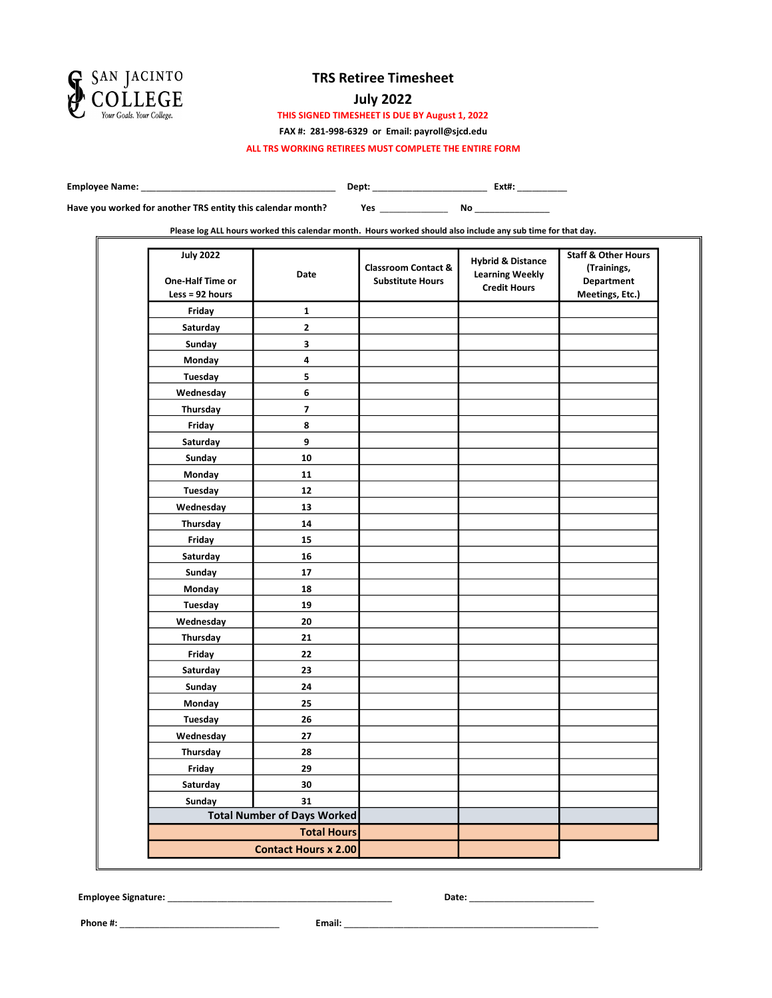

### July 2022

THIS SIGNED TIMESHEET IS DUE BY August 1, 2022

FAX #: 281-998-6329 or Email: payroll@sjcd.edu

ALL TRS WORKING RETIREES MUST COMPLETE THE ENTIRE FORM

Employee Name: \_\_\_\_\_\_\_\_\_\_\_\_\_\_\_\_\_\_\_\_\_\_\_\_\_\_\_\_\_\_\_\_\_\_\_\_\_\_\_ Dept: \_\_\_\_\_\_\_\_\_\_\_\_\_\_\_\_\_\_\_\_\_\_\_ Ext#: \_\_\_\_\_\_\_\_\_\_

Have you worked for another TRS entity this calendar month?

Yes \_\_\_\_\_\_\_\_\_\_\_\_\_\_\_ No \_\_\_\_\_\_\_\_\_\_\_\_\_\_\_

Please log ALL hours worked this calendar month. Hours worked should also include any sub time for that day.

| <b>July 2022</b><br>One-Half Time or<br>Less = $92$ hours | Date                               | <b>Classroom Contact &amp;</b><br><b>Substitute Hours</b> | <b>Hybrid &amp; Distance</b><br><b>Learning Weekly</b><br><b>Credit Hours</b> | <b>Staff &amp; Other Hours</b><br>(Trainings,<br>Department<br>Meetings, Etc.) |
|-----------------------------------------------------------|------------------------------------|-----------------------------------------------------------|-------------------------------------------------------------------------------|--------------------------------------------------------------------------------|
| Friday                                                    | $\mathbf{1}$                       |                                                           |                                                                               |                                                                                |
| Saturday                                                  | $\mathbf{2}$                       |                                                           |                                                                               |                                                                                |
| Sunday                                                    | 3                                  |                                                           |                                                                               |                                                                                |
| Monday                                                    | 4                                  |                                                           |                                                                               |                                                                                |
| Tuesday                                                   | 5                                  |                                                           |                                                                               |                                                                                |
| Wednesday                                                 | 6                                  |                                                           |                                                                               |                                                                                |
| Thursday                                                  | 7                                  |                                                           |                                                                               |                                                                                |
| Friday                                                    | 8                                  |                                                           |                                                                               |                                                                                |
| Saturday                                                  | 9                                  |                                                           |                                                                               |                                                                                |
| Sunday                                                    | 10                                 |                                                           |                                                                               |                                                                                |
| Monday                                                    | 11                                 |                                                           |                                                                               |                                                                                |
| Tuesday                                                   | 12                                 |                                                           |                                                                               |                                                                                |
| Wednesday                                                 | 13                                 |                                                           |                                                                               |                                                                                |
| Thursday                                                  | 14                                 |                                                           |                                                                               |                                                                                |
| Friday                                                    | 15                                 |                                                           |                                                                               |                                                                                |
| Saturday                                                  | 16                                 |                                                           |                                                                               |                                                                                |
| Sunday                                                    | 17                                 |                                                           |                                                                               |                                                                                |
| Monday                                                    | 18                                 |                                                           |                                                                               |                                                                                |
| Tuesday                                                   | 19                                 |                                                           |                                                                               |                                                                                |
| Wednesday                                                 | 20                                 |                                                           |                                                                               |                                                                                |
| Thursday                                                  | 21                                 |                                                           |                                                                               |                                                                                |
| Friday                                                    | 22                                 |                                                           |                                                                               |                                                                                |
| Saturday                                                  | 23                                 |                                                           |                                                                               |                                                                                |
| Sunday                                                    | 24                                 |                                                           |                                                                               |                                                                                |
| Monday                                                    | 25                                 |                                                           |                                                                               |                                                                                |
| Tuesday                                                   | 26                                 |                                                           |                                                                               |                                                                                |
| Wednesday                                                 | 27                                 |                                                           |                                                                               |                                                                                |
| Thursday                                                  | 28                                 |                                                           |                                                                               |                                                                                |
| Friday                                                    | 29                                 |                                                           |                                                                               |                                                                                |
| Saturday                                                  | 30                                 |                                                           |                                                                               |                                                                                |
| Sunday                                                    | 31                                 |                                                           |                                                                               |                                                                                |
|                                                           | <b>Total Number of Days Worked</b> |                                                           |                                                                               |                                                                                |
|                                                           | <b>Total Hours</b>                 |                                                           |                                                                               |                                                                                |
|                                                           | <b>Contact Hours x 2.00</b>        |                                                           |                                                                               |                                                                                |

Employee Signature: \_\_\_\_\_\_\_\_\_\_\_\_\_\_\_\_\_\_\_\_\_\_\_\_\_\_\_\_\_\_\_\_\_\_\_\_\_\_\_\_\_\_\_\_\_ Date: \_\_\_\_\_\_\_\_\_\_\_\_\_\_\_\_\_\_\_\_\_\_\_\_\_